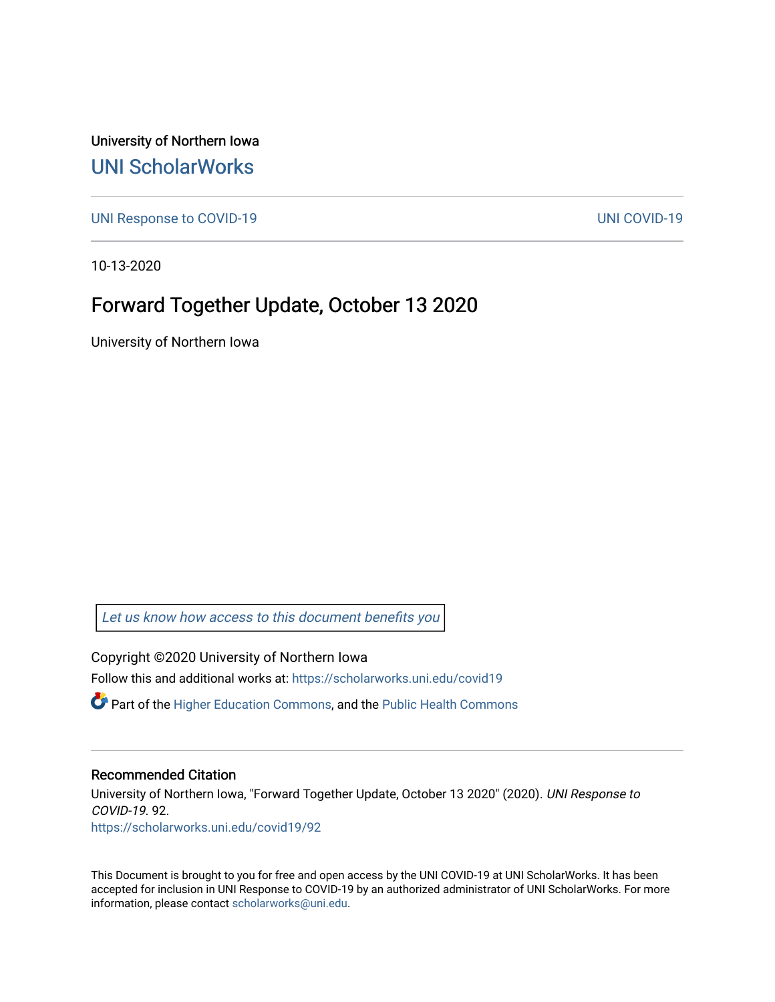University of Northern Iowa [UNI ScholarWorks](https://scholarworks.uni.edu/) 

[UNI Response to COVID-19](https://scholarworks.uni.edu/covid19) [UNI COVID-19](https://scholarworks.uni.edu/covid) 

10-13-2020

### Forward Together Update, October 13 2020

University of Northern Iowa

[Let us know how access to this document benefits you](https://scholarworks.uni.edu/feedback_form.html) 

Copyright ©2020 University of Northern Iowa Follow this and additional works at: [https://scholarworks.uni.edu/covid19](https://scholarworks.uni.edu/covid19?utm_source=scholarworks.uni.edu%2Fcovid19%2F92&utm_medium=PDF&utm_campaign=PDFCoverPages)

 $\bullet$  Part of the [Higher Education Commons,](http://network.bepress.com/hgg/discipline/1245?utm_source=scholarworks.uni.edu%2Fcovid19%2F92&utm_medium=PDF&utm_campaign=PDFCoverPages) and the Public Health Commons

#### Recommended Citation

University of Northern Iowa, "Forward Together Update, October 13 2020" (2020). UNI Response to COVID-19. 92. [https://scholarworks.uni.edu/covid19/92](https://scholarworks.uni.edu/covid19/92?utm_source=scholarworks.uni.edu%2Fcovid19%2F92&utm_medium=PDF&utm_campaign=PDFCoverPages) 

This Document is brought to you for free and open access by the UNI COVID-19 at UNI ScholarWorks. It has been accepted for inclusion in UNI Response to COVID-19 by an authorized administrator of UNI ScholarWorks. For more information, please contact [scholarworks@uni.edu.](mailto:scholarworks@uni.edu)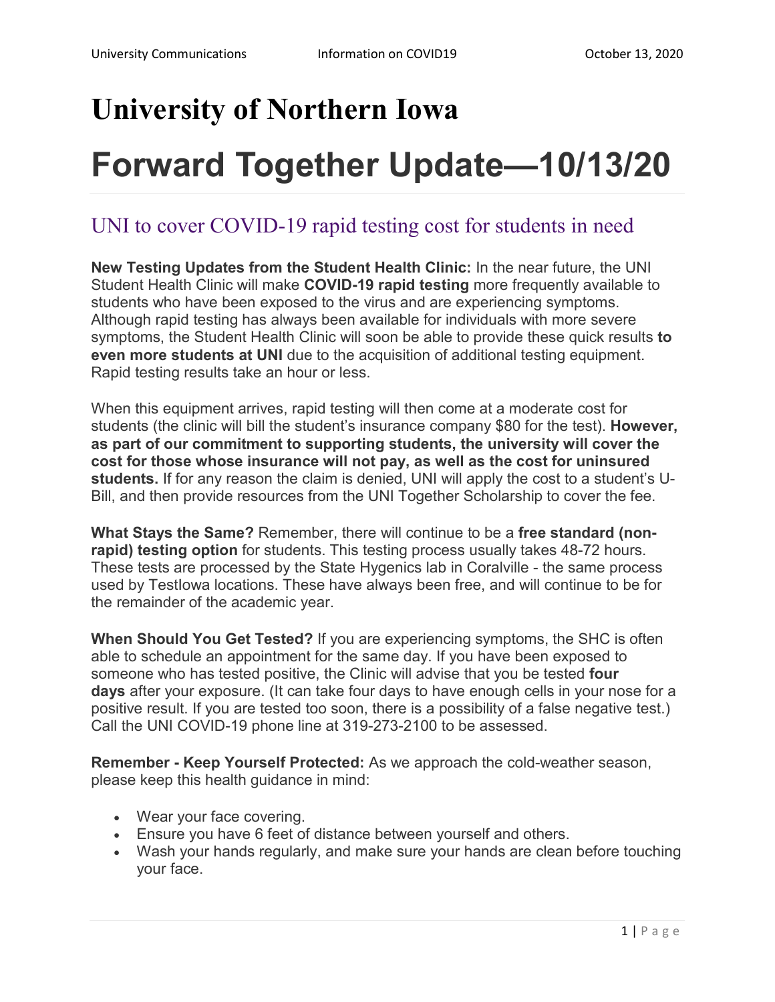## **University of Northern Iowa**

# **Forward Together Update—10/13/20**

### UNI to cover COVID-19 rapid testing cost for students in need

**New Testing Updates from the Student Health Clinic:** In the near future, the UNI Student Health Clinic will make **COVID-19 rapid testing** more frequently available to students who have been exposed to the virus and are experiencing symptoms. Although rapid testing has always been available for individuals with more severe symptoms, the Student Health Clinic will soon be able to provide these quick results **to even more students at UNI** due to the acquisition of additional testing equipment. Rapid testing results take an hour or less.

When this equipment arrives, rapid testing will then come at a moderate cost for students (the clinic will bill the student's insurance company \$80 for the test). **However, as part of our commitment to supporting students, the university will cover the cost for those whose insurance will not pay, as well as the cost for uninsured students.** If for any reason the claim is denied, UNI will apply the cost to a student's U-Bill, and then provide resources from the UNI Together Scholarship to cover the fee.

**What Stays the Same?** Remember, there will continue to be a **free standard (nonrapid) testing option** for students. This testing process usually takes 48-72 hours. These tests are processed by the State Hygenics lab in Coralville - the same process used by TestIowa locations. These have always been free, and will continue to be for the remainder of the academic year.

**When Should You Get Tested?** If you are experiencing symptoms, the SHC is often able to schedule an appointment for the same day. If you have been exposed to someone who has tested positive, the Clinic will advise that you be tested **four days** after your exposure. (It can take four days to have enough cells in your nose for a positive result. If you are tested too soon, there is a possibility of a false negative test.) Call the UNI COVID-19 phone line at 319-273-2100 to be assessed.

**Remember - Keep Yourself Protected:** As we approach the cold-weather season, please keep this health guidance in mind:

- Wear your face covering.
- Ensure you have 6 feet of distance between yourself and others.
- Wash your hands regularly, and make sure your hands are clean before touching your face.